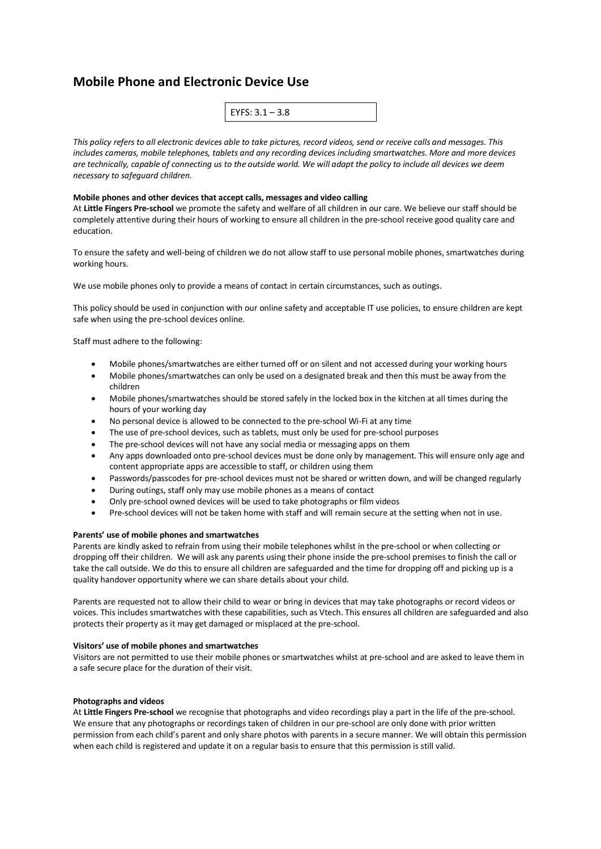# **Mobile Phone and Electronic Device Use**

*This policy refers to all electronic devices able to take pictures, record videos, send or receive calls and messages. This includes cameras, mobile telephones, tablets and any recording devices including smartwatches. More and more devices are technically, capable of connecting us to the outside world. We will adapt the policy to include all devices we deem necessary to safeguard children.* 

## **Mobile phones and other devices that accept calls, messages and video calling**

At **Little Fingers Pre-school** we promote the safety and welfare of all children in our care. We believe our staff should be completely attentive during their hours of working to ensure all children in the pre-school receive good quality care and education.

To ensure the safety and well-being of children we do not allow staff to use personal mobile phones, smartwatches during working hours.

We use mobile phones only to provide a means of contact in certain circumstances, such as outings.

This policy should be used in conjunction with our online safety and acceptable IT use policies, to ensure children are kept safe when using the pre-school devices online.

Staff must adhere to the following:

- Mobile phones/smartwatches are either turned off or on silent and not accessed during your working hours
- Mobile phones/smartwatches can only be used on a designated break and then this must be away from the children
- Mobile phones/smartwatches should be stored safely in the locked box in the kitchen at all times during the hours of your working day
- No personal device is allowed to be connected to the pre-school Wi-Fi at any time
- The use of pre-school devices, such as tablets, must only be used for pre-school purposes
- The pre-school devices will not have any social media or messaging apps on them
- Any apps downloaded onto pre-school devices must be done only by management. This will ensure only age and content appropriate apps are accessible to staff, or children using them
- Passwords/passcodes for pre-school devices must not be shared or written down, and will be changed regularly
- During outings, staff only may use mobile phones as a means of contact
- Only pre-school owned devices will be used to take photographs or film videos
- Pre-school devices will not be taken home with staff and will remain secure at the setting when not in use.

### **Parents' use of mobile phones and smartwatches**

Parents are kindly asked to refrain from using their mobile telephones whilst in the pre-school or when collecting or dropping off their children. We will ask any parents using their phone inside the pre-school premises to finish the call or take the call outside. We do this to ensure all children are safeguarded and the time for dropping off and picking up is a quality handover opportunity where we can share details about your child.

Parents are requested not to allow their child to wear or bring in devices that may take photographs or record videos or voices. This includes smartwatches with these capabilities, such as Vtech. This ensures all children are safeguarded and also protects their property as it may get damaged or misplaced at the pre-school.

### **Visitors' use of mobile phones and smartwatches**

Visitors are not permitted to use their mobile phones or smartwatches whilst at pre-school and are asked to leave them in a safe secure place for the duration of their visit.

### **Photographs and videos**

At **Little Fingers Pre-school** we recognise that photographs and video recordings play a part in the life of the pre-school. We ensure that any photographs or recordings taken of children in our pre-school are only done with prior written permission from each child's parent and only share photos with parents in a secure manner. We will obtain this permission when each child is registered and update it on a regular basis to ensure that this permission is still valid.